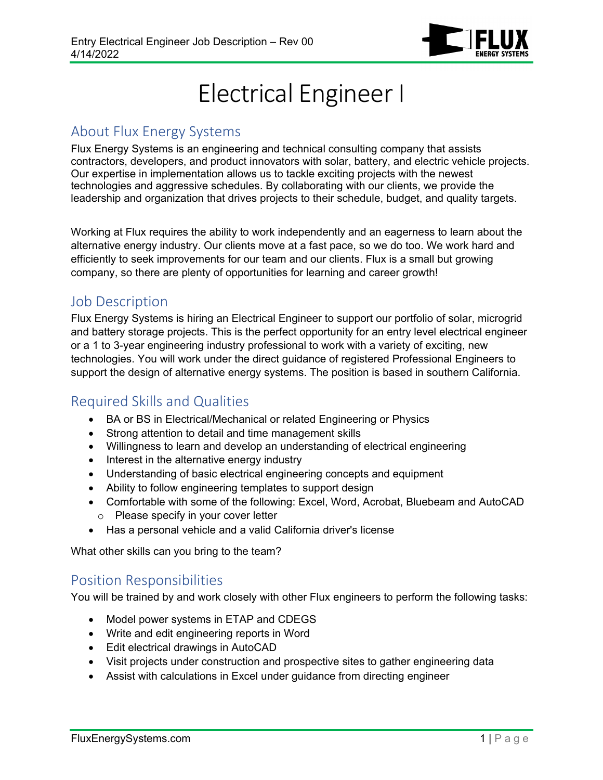

# Electrical Engineer I

#### About Flux Energy Systems

Flux Energy Systems is an engineering and technical consulting company that assists contractors, developers, and product innovators with solar, battery, and electric vehicle projects. Our expertise in implementation allows us to tackle exciting projects with the newest technologies and aggressive schedules. By collaborating with our clients, we provide the leadership and organization that drives projects to their schedule, budget, and quality targets.

Working at Flux requires the ability to work independently and an eagerness to learn about the alternative energy industry. Our clients move at a fast pace, so we do too. We work hard and efficiently to seek improvements for our team and our clients. Flux is a small but growing company, so there are plenty of opportunities for learning and career growth!

## Job Description

Flux Energy Systems is hiring an Electrical Engineer to support our portfolio of solar, microgrid and battery storage projects. This is the perfect opportunity for an entry level electrical engineer or a 1 to 3-year engineering industry professional to work with a variety of exciting, new technologies. You will work under the direct guidance of registered Professional Engineers to support the design of alternative energy systems. The position is based in southern California.

# Required Skills and Qualities

- BA or BS in Electrical/Mechanical or related Engineering or Physics
- Strong attention to detail and time management skills
- Willingness to learn and develop an understanding of electrical engineering
- Interest in the alternative energy industry
- Understanding of basic electrical engineering concepts and equipment
- Ability to follow engineering templates to support design
- Comfortable with some of the following: Excel, Word, Acrobat, Bluebeam and AutoCAD o Please specify in your cover letter
- Has a personal vehicle and a valid California driver's license

What other skills can you bring to the team?

## Position Responsibilities

You will be trained by and work closely with other Flux engineers to perform the following tasks:

- Model power systems in ETAP and CDEGS
- Write and edit engineering reports in Word
- Edit electrical drawings in AutoCAD
- Visit projects under construction and prospective sites to gather engineering data
- Assist with calculations in Excel under guidance from directing engineer